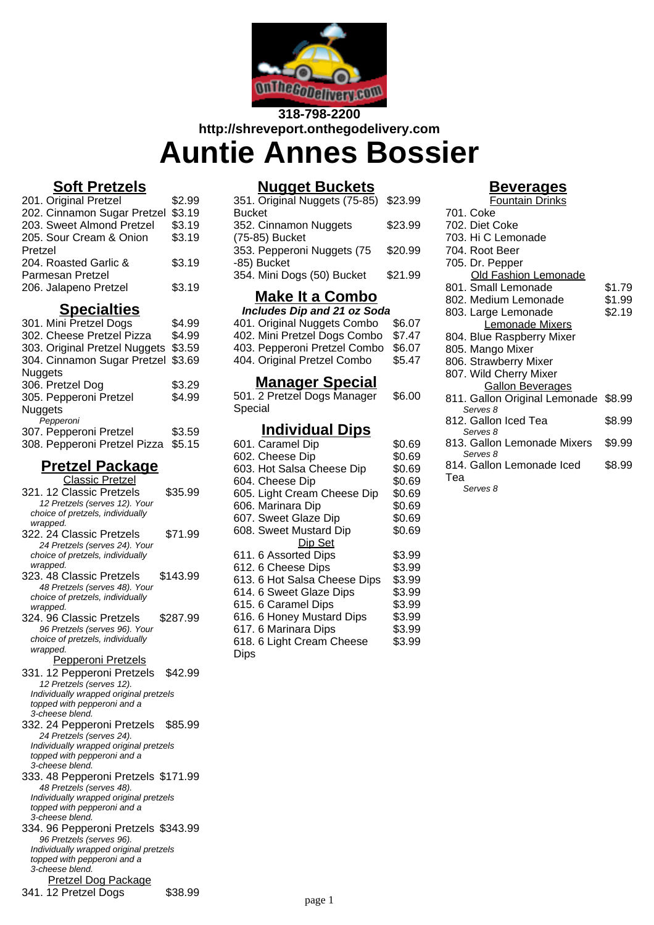

# **318-798-2200 http://shreveport.onthegodelivery.com Auntie Annes Bossier**

### **Soft Pretzels**

| 201. Original Pretzel       | \$2.99 |
|-----------------------------|--------|
| 202. Cinnamon Sugar Pretzel | \$3.19 |
| 203. Sweet Almond Pretzel   | \$3.19 |
| 205. Sour Cream & Onion     | \$3.19 |
| Pretzel                     |        |
| 204. Roasted Garlic &       | \$3.19 |
| Parmesan Pretzel            |        |
| 206. Jalapeno Pretzel       | \$3.19 |
|                             |        |

#### **Specialties**

| \$4.99                                  |
|-----------------------------------------|
| \$4.99                                  |
| \$3.59<br>303. Original Pretzel Nuggets |
| \$3.69                                  |
|                                         |
| \$3.29                                  |
| \$4.99                                  |
|                                         |
|                                         |
| \$3.59                                  |
| \$5.15                                  |
| 304. Cinnamon Sugar Pretzel             |

# **Pretzel Package**

| <b>Classic Pretzel</b>                 |
|----------------------------------------|
| 321. 12 Classic Pretzels<br>\$35.99    |
| 12 Pretzels (serves 12). Your          |
| choice of pretzels, individually       |
| wrapped.                               |
| \$71.99<br>322. 24 Classic Pretzels    |
| 24 Pretzels (serves 24). Your          |
| choice of pretzels, individually       |
| wrapped.                               |
| \$143.99<br>323. 48 Classic Pretzels   |
| 48 Pretzels (serves 48). Your          |
| choice of pretzels, individually       |
| wrapped.                               |
| 324. 96 Classic Pretzels<br>\$287.99   |
| 96 Pretzels (serves 96). Your          |
| choice of pretzels, individually       |
| wrapped.                               |
| Pepperoni Pretzels                     |
| 331. 12 Pepperoni Pretzels<br>\$42.99  |
| 12 Pretzels (serves 12).               |
| Individually wrapped original pretzels |
| topped with pepperoni and a            |
| 3-cheese blend.                        |
| \$85.99<br>332. 24 Pepperoni Pretzels  |
| 24 Pretzels (serves 24).               |
| Individually wrapped original pretzels |
| topped with pepperoni and a            |
| 3-cheese blend.                        |
| 333. 48 Pepperoni Pretzels \$171.99    |
| 48 Pretzels (serves 48).               |
| Individually wrapped original pretzels |
| topped with pepperoni and a            |
| 3-cheese blend.                        |
| 334. 96 Pepperoni Pretzels \$343.99    |
| 96 Pretzels (serves 96).               |
| Individually wrapped original pretzels |
| topped with pepperoni and a            |
| 3-cheese blend.                        |
| <b>Pretzel Dog Package</b>             |
| 341. 12 Pretzel Dogs<br>\$38.99        |
|                                        |

# **Nugget Buckets**

| 351. Original Nuggets (75-85) \$23.99 |         |
|---------------------------------------|---------|
| <b>Bucket</b>                         |         |
| 352. Cinnamon Nuggets                 | \$23.99 |
| (75-85) Bucket                        |         |
| 353. Pepperoni Nuggets (75            | \$20.99 |
| -85) Bucket                           |         |
| 354. Mini Dogs (50) Bucket            | \$21.99 |
|                                       |         |

# **Make It a Combo**

| <b>Includes Dip and 21 oz Soda</b> |        |  |  |
|------------------------------------|--------|--|--|
| 401. Original Nuggets Combo        | \$6.07 |  |  |
| 402. Mini Pretzel Dogs Combo       | \$7.47 |  |  |
| 403. Pepperoni Pretzel Combo       | \$6.07 |  |  |
| 404. Original Pretzel Combo        | \$5.47 |  |  |
|                                    |        |  |  |

#### **Manager Special**

501. 2 Pretzel Dogs Manager Special \$6.00

## **Individual Dips**

| 601. Caramel Dip             | \$0.69 |
|------------------------------|--------|
| 602. Cheese Dip              | \$0.69 |
| 603. Hot Salsa Cheese Dip    | \$0.69 |
| 604. Cheese Dip              | \$0.69 |
| 605. Light Cream Cheese Dip  | \$0.69 |
| 606. Marinara Dip            | \$0.69 |
| 607. Sweet Glaze Dip         | \$0.69 |
| 608. Sweet Mustard Dip       | \$0.69 |
| Dip Set                      |        |
| 611. 6 Assorted Dips         | \$3.99 |
| 612. 6 Cheese Dips           | \$3.99 |
| 613. 6 Hot Salsa Cheese Dips | \$3.99 |
| 614. 6 Sweet Glaze Dips      | \$3.99 |
| 615. 6 Caramel Dips          | \$3.99 |
| 616. 6 Honey Mustard Dips    | \$3.99 |
| 617. 6 Marinara Dips         | \$3.99 |
| 618. 6 Light Cream Cheese    | \$3.99 |
| Dips                         |        |

### **Beverages**

| <u>релегайсэ</u>       |                                      |        |  |
|------------------------|--------------------------------------|--------|--|
| <b>Fountain Drinks</b> |                                      |        |  |
|                        | 701. Coke                            |        |  |
|                        | 702. Diet Coke                       |        |  |
|                        | 703. Hi C Lemonade                   |        |  |
|                        | 704. Root Beer                       |        |  |
|                        | 705. Dr. Pepper                      |        |  |
|                        | <b>Old Fashion Lemonade</b>          |        |  |
|                        | 801. Small Lemonade                  | \$1.79 |  |
|                        | 802. Medium Lemonade                 | \$1.99 |  |
|                        | 803. Large Lemonade                  | \$2.19 |  |
|                        | Lemonade Mixers                      |        |  |
|                        | 804. Blue Raspberry Mixer            |        |  |
|                        | 805. Mango Mixer                     |        |  |
|                        | 806. Strawberry Mixer                |        |  |
|                        | 807. Wild Cherry Mixer               |        |  |
|                        | <b>Gallon Beverages</b>              |        |  |
|                        | 811. Gallon Original Lemonade \$8.99 |        |  |
|                        | Serves 8                             |        |  |
|                        | 812. Gallon Iced Tea<br>Serves 8     | \$8.99 |  |
|                        | 813. Gallon Lemonade Mixers          | \$9.99 |  |
|                        | Serves 8                             |        |  |
|                        | 814. Gallon Lemonade Iced            | \$8.99 |  |
|                        | Теа                                  |        |  |
|                        | Serves 8                             |        |  |
|                        |                                      |        |  |